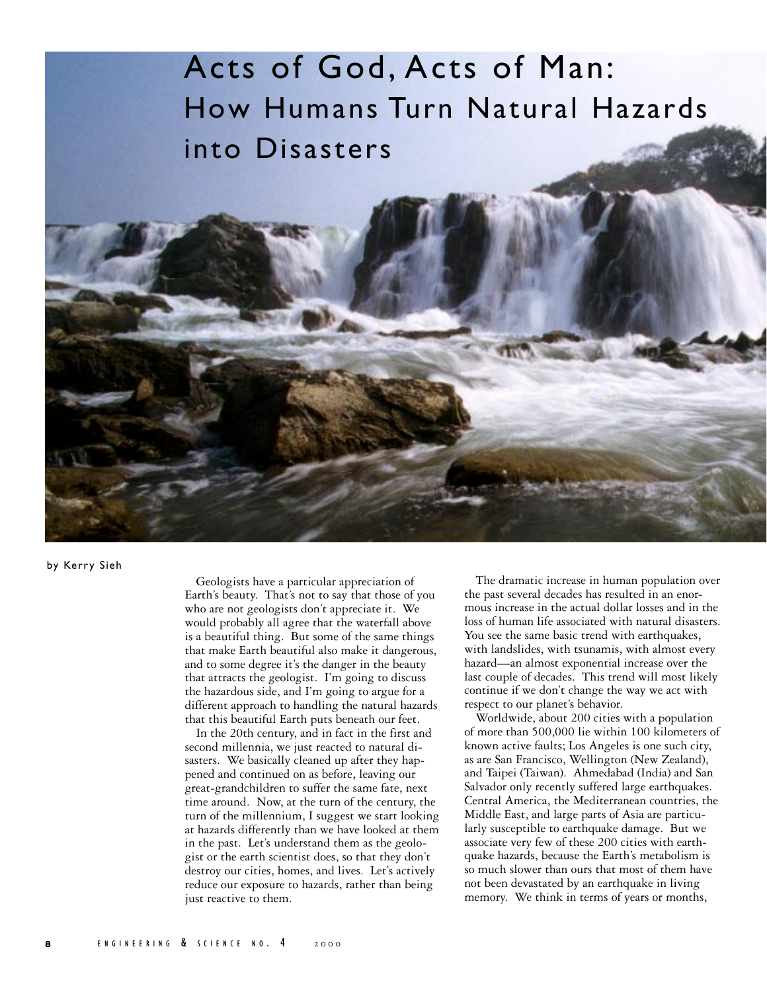## Acts of God, Acts of Man: How Humans Turn Natural Hazards into Disasters

by Kerry Sieh

Geologists have a particular appreciation of Earth's beauty. That's not to say that those of you who are not geologists don't appreciate it. We would probably all agree that the waterfall above is a beautiful thing. But some of the same things that make Earth beautiful also make it dangerous, and to some degree it's the danger in the beauty that attracts the geologist. I'm going to discuss the hazardous side, and I'm going to argue for a different approach to handling the natural hazards that this beautiful Earth puts beneath our feet.

In the 20th century, and in fact in the first and second millennia, we just reacted to natural disasters. We basically cleaned up after they happened and continued on as before, leaving our great-grandchildren to suffer the same fate, next time around. Now, at the turn of the century, the turn of the millennium, I suggest we start looking at hazards differently than we have looked at them in the past. Let's understand them as the geologist or the earth scientist does, so that they don't destroy our cities, homes, and lives. Let's actively reduce our exposure to hazards, rather than being just reactive to them.

The dramatic increase in human population over the past several decades has resulted in an enormous increase in the actual dollar losses and in the loss of human life associated with natural disasters. You see the same basic trend with earthquakes, with landslides, with tsunamis, with almost every hazard—an almost exponential increase over the last couple of decades. This trend will most likely continue if we don't change the way we act with respect to our planet's behavior.

Worldwide, about 200 cities with a population of more than 500,000 lie within 100 kilometers of known active faults; Los Angeles is one such city, as are San Francisco, Wellington (New Zealand), and Taipei (Taiwan). Ahmedabad (India) and San Salvador only recently suffered large earthquakes. Central America, the Mediterranean countries, the Middle East, and large parts of Asia are particularly susceptible to earthquake damage. But we associate very few of these 200 cities with earthquake hazards, because the Earth's metabolism is so much slower than ours that most of them have not been devastated by an earthquake in living memory. We think in terms of years or months,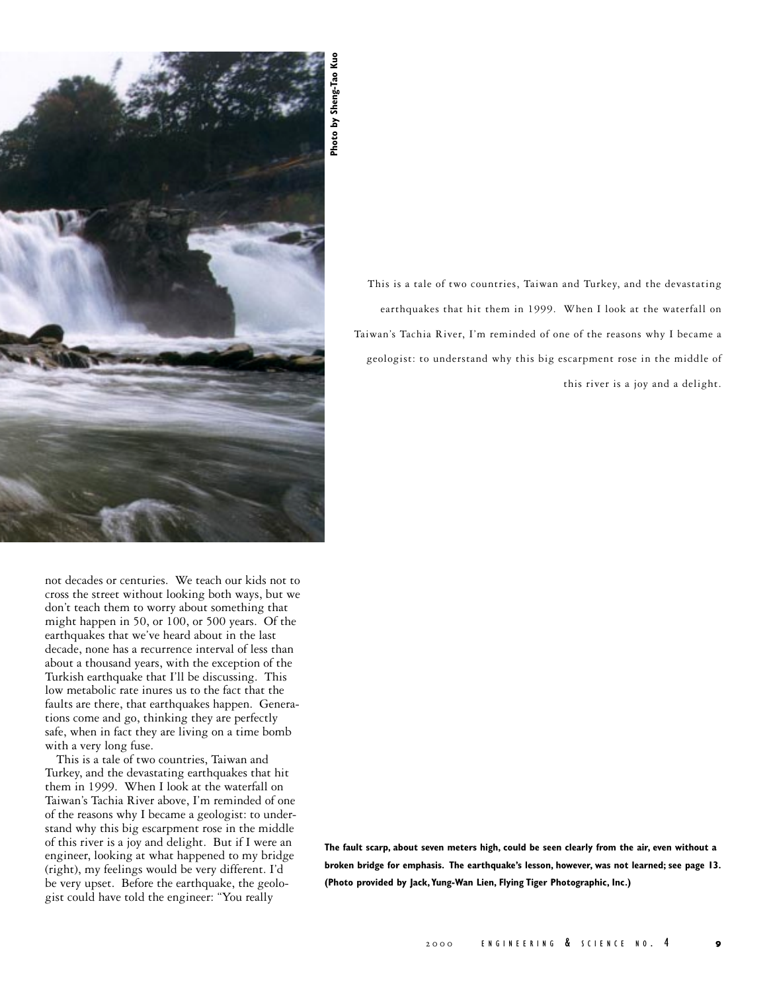

not decades or centuries. We teach our kids not to cross the street without looking both ways, but we don't teach them to worry about something that might happen in 50, or 100, or 500 years. Of the earthquakes that we've heard about in the last decade, none has a recurrence interval of less than about a thousand years, with the exception of the Turkish earthquake that I'll be discussing. This low metabolic rate inures us to the fact that the faults are there, that earthquakes happen. Generations come and go, thinking they are perfectly safe, when in fact they are living on a time bomb with a very long fuse.

This is a tale of two countries, Taiwan and Turkey, and the devastating earthquakes that hit them in 1999. When I look at the waterfall on Taiwan's Tachia River above, I'm reminded of one of the reasons why I became a geologist: to understand why this big escarpment rose in the middle of this river is a joy and delight. But if I were an engineer, looking at what happened to my bridge (right), my feelings would be very different. I'd be very upset. Before the earthquake, the geologist could have told the engineer: "You really

This is a tale of two countries, Taiwan and Turkey, and the devastating earthquakes that hit them in 1999. When I look at the waterfall on Taiwan's Tachia River, I'm reminded of one of the reasons why I became a geologist: to understand why this big escarpment rose in the middle of this river is a joy and a delight. **(Photo provided by Shendary Control**<br> **(Photo Provident** State in the state in 1999). When I look:<br>
This is a rate of two countries, Taiwan and Turkey, a<br> **Example Shendary Theodor State Tiger Photographic Inc.**<br> **Photo p** 

**The fault scarp, about seven meters high, could be seen clearly from the air, even without a broken bridge for emphasis. The earthquake's lesson, however, was not learned; see page 13.**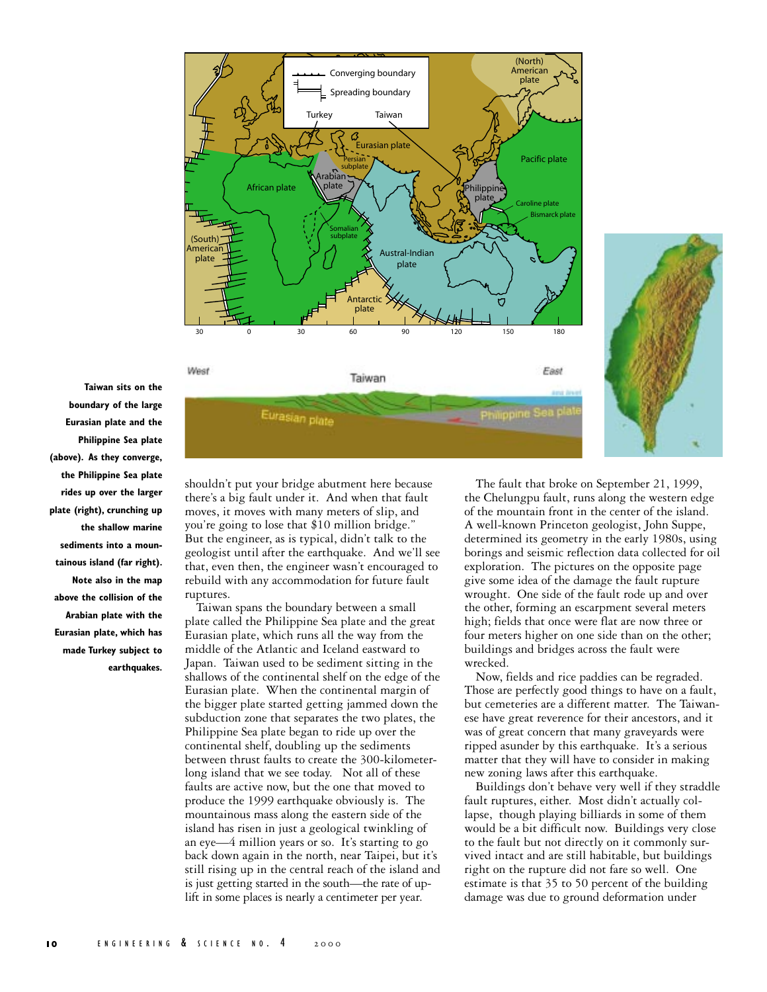



**Taiwan sits on the boundary of the large Eurasian plate and the Philippine Sea plate (above). As they converge, the Philippine Sea plate rides up over the larger plate (right), crunching up the shallow marine sediments into a mountainous island (far right). Note also in the map above the collision of the Arabian plate with the Eurasian plate, which has made Turkey subject to earthquakes.**

shouldn't put your bridge abutment here because there's a big fault under it. And when that fault moves, it moves with many meters of slip, and you're going to lose that \$10 million bridge." But the engineer, as is typical, didn't talk to the geologist until after the earthquake. And we'll see that, even then, the engineer wasn't encouraged to rebuild with any accommodation for future fault ruptures.

Taiwan spans the boundary between a small plate called the Philippine Sea plate and the great Eurasian plate, which runs all the way from the middle of the Atlantic and Iceland eastward to Japan. Taiwan used to be sediment sitting in the shallows of the continental shelf on the edge of the Eurasian plate. When the continental margin of the bigger plate started getting jammed down the subduction zone that separates the two plates, the Philippine Sea plate began to ride up over the continental shelf, doubling up the sediments between thrust faults to create the 300-kilometerlong island that we see today. Not all of these faults are active now, but the one that moved to produce the 1999 earthquake obviously is. The mountainous mass along the eastern side of the island has risen in just a geological twinkling of an eye—4 million years or so. It's starting to go back down again in the north, near Taipei, but it's still rising up in the central reach of the island and is just getting started in the south—the rate of uplift in some places is nearly a centimeter per year.

The fault that broke on September 21, 1999, the Chelungpu fault, runs along the western edge of the mountain front in the center of the island. A well-known Princeton geologist, John Suppe, determined its geometry in the early 1980s, using borings and seismic reflection data collected for oil exploration. The pictures on the opposite page give some idea of the damage the fault rupture wrought. One side of the fault rode up and over the other, forming an escarpment several meters high; fields that once were flat are now three or four meters higher on one side than on the other; buildings and bridges across the fault were wrecked.

Now, fields and rice paddies can be regraded. Those are perfectly good things to have on a fault, but cemeteries are a different matter. The Taiwanese have great reverence for their ancestors, and it was of great concern that many graveyards were ripped asunder by this earthquake. It's a serious matter that they will have to consider in making new zoning laws after this earthquake.

Buildings don't behave very well if they straddle fault ruptures, either. Most didn't actually collapse, though playing billiards in some of them would be a bit difficult now. Buildings very close to the fault but not directly on it commonly survived intact and are still habitable, but buildings right on the rupture did not fare so well. One estimate is that 35 to 50 percent of the building damage was due to ground deformation under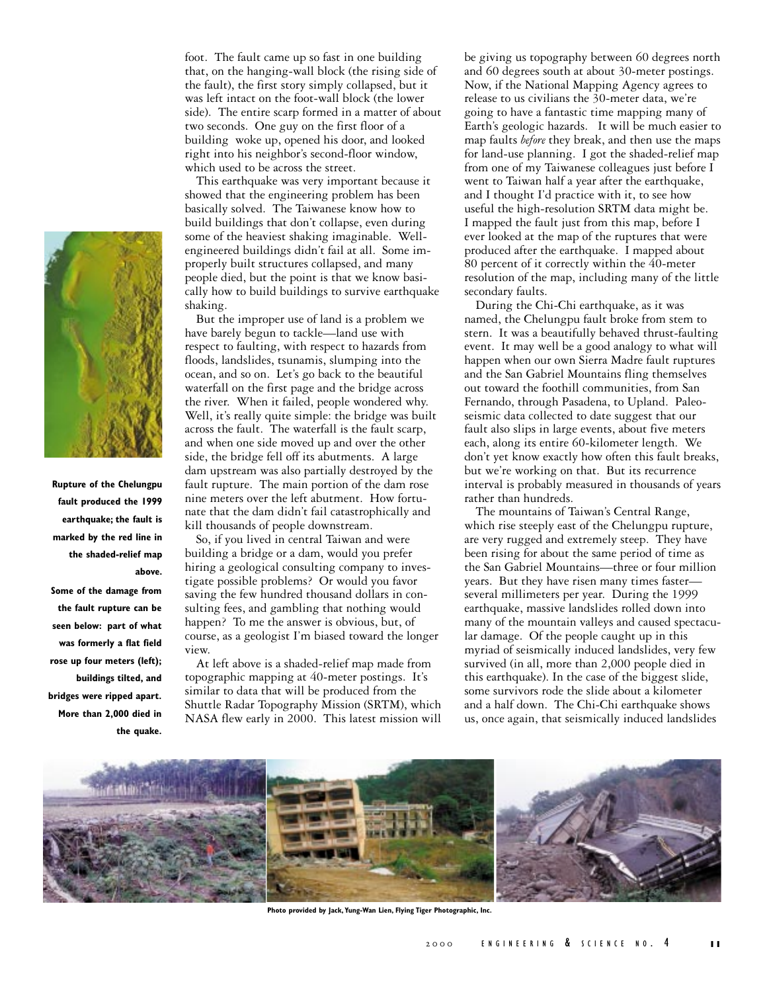

**Rupture of the Chelungpu fault produced the 1999 earthquake; the fault is marked by the red line in the shaded-relief map above.**

**Some of the damage from the fault rupture can be seen below: part of what was formerly a flat field rose up four meters (left); buildings tilted, and bridges were ripped apart. More than 2,000 died in the quake.**

foot. The fault came up so fast in one building that, on the hanging-wall block (the rising side of the fault), the first story simply collapsed, but it was left intact on the foot-wall block (the lower side). The entire scarp formed in a matter of about two seconds. One guy on the first floor of a building woke up, opened his door, and looked right into his neighbor's second-floor window, which used to be across the street.

This earthquake was very important because it showed that the engineering problem has been basically solved. The Taiwanese know how to build buildings that don't collapse, even during some of the heaviest shaking imaginable. Wellengineered buildings didn't fail at all. Some improperly built structures collapsed, and many people died, but the point is that we know basically how to build buildings to survive earthquake shaking.

But the improper use of land is a problem we have barely begun to tackle—land use with respect to faulting, with respect to hazards from floods, landslides, tsunamis, slumping into the ocean, and so on. Let's go back to the beautiful waterfall on the first page and the bridge across the river. When it failed, people wondered why. Well, it's really quite simple: the bridge was built across the fault. The waterfall is the fault scarp, and when one side moved up and over the other side, the bridge fell off its abutments. A large dam upstream was also partially destroyed by the fault rupture. The main portion of the dam rose nine meters over the left abutment. How fortunate that the dam didn't fail catastrophically and kill thousands of people downstream.

So, if you lived in central Taiwan and were building a bridge or a dam, would you prefer hiring a geological consulting company to investigate possible problems? Or would you favor saving the few hundred thousand dollars in consulting fees, and gambling that nothing would happen? To me the answer is obvious, but, of course, as a geologist I'm biased toward the longer view.

At left above is a shaded-relief map made from topographic mapping at 40-meter postings. It's similar to data that will be produced from the Shuttle Radar Topography Mission (SRTM), which NASA flew early in 2000. This latest mission will be giving us topography between 60 degrees north and 60 degrees south at about 30-meter postings. Now, if the National Mapping Agency agrees to release to us civilians the 30-meter data, we're going to have a fantastic time mapping many of Earth's geologic hazards. It will be much easier to map faults *before* they break, and then use the maps for land-use planning. I got the shaded-relief map from one of my Taiwanese colleagues just before I went to Taiwan half a year after the earthquake, and I thought I'd practice with it, to see how useful the high-resolution SRTM data might be. I mapped the fault just from this map, before I ever looked at the map of the ruptures that were produced after the earthquake. I mapped about 80 percent of it correctly within the 40-meter resolution of the map, including many of the little secondary faults.

During the Chi-Chi earthquake, as it was named, the Chelungpu fault broke from stem to stern. It was a beautifully behaved thrust-faulting event. It may well be a good analogy to what will happen when our own Sierra Madre fault ruptures and the San Gabriel Mountains fling themselves out toward the foothill communities, from San Fernando, through Pasadena, to Upland. Paleoseismic data collected to date suggest that our fault also slips in large events, about five meters each, along its entire 60-kilometer length. We don't yet know exactly how often this fault breaks, but we're working on that. But its recurrence interval is probably measured in thousands of years rather than hundreds.

The mountains of Taiwan's Central Range, which rise steeply east of the Chelungpu rupture, are very rugged and extremely steep. They have been rising for about the same period of time as the San Gabriel Mountains—three or four million years. But they have risen many times faster several millimeters per year. During the 1999 earthquake, massive landslides rolled down into many of the mountain valleys and caused spectacular damage. Of the people caught up in this myriad of seismically induced landslides, very few survived (in all, more than 2,000 people died in this earthquake). In the case of the biggest slide, some survivors rode the slide about a kilometer and a half down. The Chi-Chi earthquake shows us, once again, that seismically induced landslides



**Photo provided by Jack, Yung-Wan Lien, Flying Tiger Photographic, Inc.**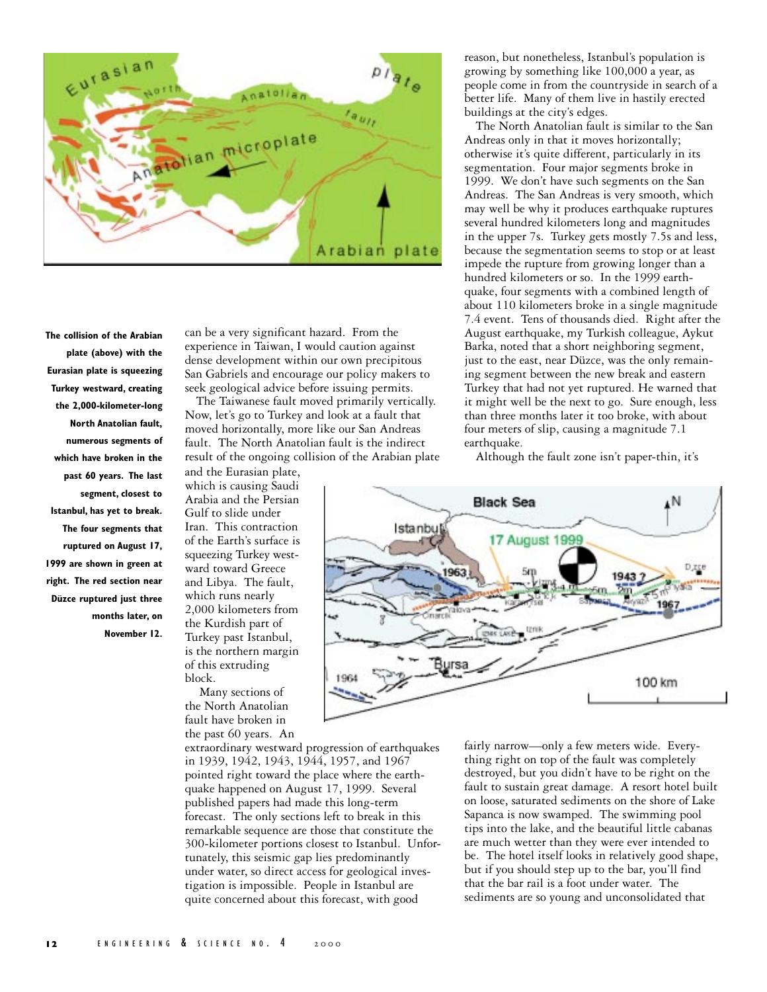

**The collision of the Arabian plate (above) with the Eurasian plate is squeezing Turkey westward, creating the 2,000-kilometer-long North Anatolian fault, numerous segments of which have broken in the past 60 years. The last segment, closest to Istanbul, has yet to break. The four segments that ruptured on August 17, 1999 are shown in green at right. The red section near Düzce ruptured just three months later, on November 12.**

can be a very significant hazard. From the experience in Taiwan, I would caution against dense development within our own precipitous San Gabriels and encourage our policy makers to seek geological advice before issuing permits.

The Taiwanese fault moved primarily vertically. Now, let's go to Turkey and look at a fault that moved horizontally, more like our San Andreas fault. The North Anatolian fault is the indirect result of the ongoing collision of the Arabian plate

and the Eurasian plate, which is causing Saudi Arabia and the Persian Gulf to slide under Iran. This contraction of the Earth's surface is squeezing Turkey westward toward Greece and Libya. The fault, which runs nearly 2,000 kilometers from the Kurdish part of Turkey past Istanbul, is the northern margin of this extruding block.

 Many sections of the North Anatolian fault have broken in the past 60 years. An

extraordinary westward progression of earthquakes in 1939, 1942, 1943, 1944, 1957, and 1967 pointed right toward the place where the earthquake happened on August 17, 1999. Several published papers had made this long-term forecast. The only sections left to break in this remarkable sequence are those that constitute the 300-kilometer portions closest to Istanbul. Unfortunately, this seismic gap lies predominantly under water, so direct access for geological investigation is impossible. People in Istanbul are quite concerned about this forecast, with good

reason, but nonetheless, Istanbul's population is growing by something like 100,000 a year, as people come in from the countryside in search of a better life. Many of them live in hastily erected buildings at the city's edges.

The North Anatolian fault is similar to the San Andreas only in that it moves horizontally; otherwise it's quite different, particularly in its segmentation. Four major segments broke in 1999. We don't have such segments on the San Andreas. The San Andreas is very smooth, which may well be why it produces earthquake ruptures several hundred kilometers long and magnitudes in the upper 7s. Turkey gets mostly 7.5s and less, because the segmentation seems to stop or at least impede the rupture from growing longer than a hundred kilometers or so. In the 1999 earthquake, four segments with a combined length of about 110 kilometers broke in a single magnitude 7.4 event. Tens of thousands died. Right after the August earthquake, my Turkish colleague, Aykut Barka, noted that a short neighboring segment, just to the east, near Düzce, was the only remaining segment between the new break and eastern Turkey that had not yet ruptured. He warned that it might well be the next to go. Sure enough, less than three months later it too broke, with about four meters of slip, causing a magnitude 7.1 earthquake.

Although the fault zone isn't paper-thin, it's



fairly narrow—only a few meters wide. Everything right on top of the fault was completely destroyed, but you didn't have to be right on the fault to sustain great damage. A resort hotel built on loose, saturated sediments on the shore of Lake Sapanca is now swamped. The swimming pool tips into the lake, and the beautiful little cabanas are much wetter than they were ever intended to be. The hotel itself looks in relatively good shape, but if you should step up to the bar, you'll find that the bar rail is a foot under water. The sediments are so young and unconsolidated that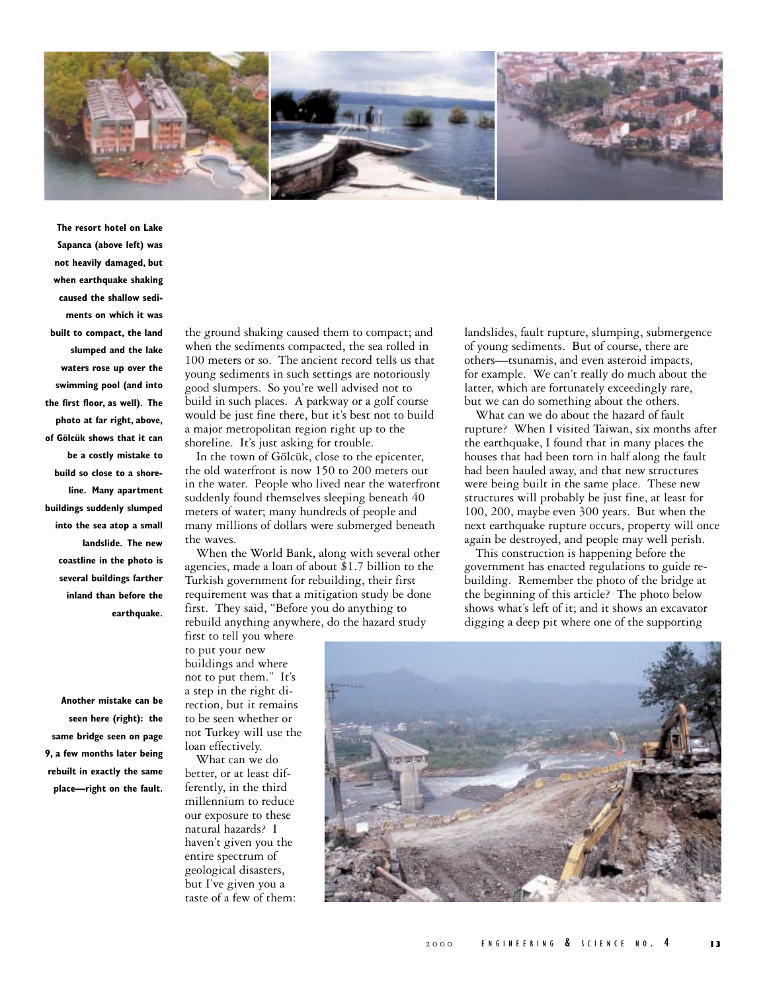

**The resort hotel on Lake Sapanca (above left) was not heavily damaged, but when earthquake shaking caused the shallow sediments on which it was built to compact, the land slumped and the lake waters rose up over the swimming pool (and into the first floor, as well). The photo at far right, above, of Gölcük shows that it can be a costly mistake to build so close to a shoreline. Many apartment buildings suddenly slumped into the sea atop a small landslide. The new coastline in the photo is several buildings farther inland than before the earthquake.**

**Another mistake can be seen here (right): the same bridge seen on page 9, a few months later being rebuilt in exactly the same place—right on the fault.** the ground shaking caused them to compact; and when the sediments compacted, the sea rolled in 100 meters or so. The ancient record tells us that young sediments in such settings are notoriously good slumpers. So you're well advised not to build in such places. A parkway or a golf course would be just fine there, but it's best not to build a major metropolitan region right up to the shoreline. It's just asking for trouble.

In the town of Gölcük, close to the epicenter, the old waterfront is now 150 to 200 meters out in the water. People who lived near the waterfront suddenly found themselves sleeping beneath 40 meters of water; many hundreds of people and many millions of dollars were submerged beneath the waves.

When the World Bank, along with several other agencies, made a loan of about \$1.7 billion to the Turkish government for rebuilding, their first requirement was that a mitigation study be done first. They said, "Before you do anything to rebuild anything anywhere, do the hazard study first to tell you where

landslides, fault rupture, slumping, submergence of young sediments. But of course, there are others—tsunamis, and even asteroid impacts, for example. We can't really do much about the latter, which are fortunately exceedingly rare, but we can do something about the others.

What can we do about the hazard of fault rupture? When I visited Taiwan, six months after the earthquake, I found that in many places the houses that had been torn in half along the fault had been hauled away, and that new structures were being built in the same place. These new structures will probably be just fine, at least for 100, 200, maybe even 300 years. But when the next earthquake rupture occurs, property will once again be destroyed, and people may well perish.

This construction is happening before the government has enacted regulations to guide rebuilding. Remember the photo of the bridge at the beginning of this article? The photo below shows what's left of it; and it shows an excavator digging a deep pit where one of the supporting

to put your new buildings and where not to put them." It's a step in the right direction, but it remains to be seen whether or not Turkey will use the loan effectively.

What can we do better, or at least differently, in the third millennium to reduce our exposure to these natural hazards? I haven't given you the entire spectrum of geological disasters, but I've given you a taste of a few of them:

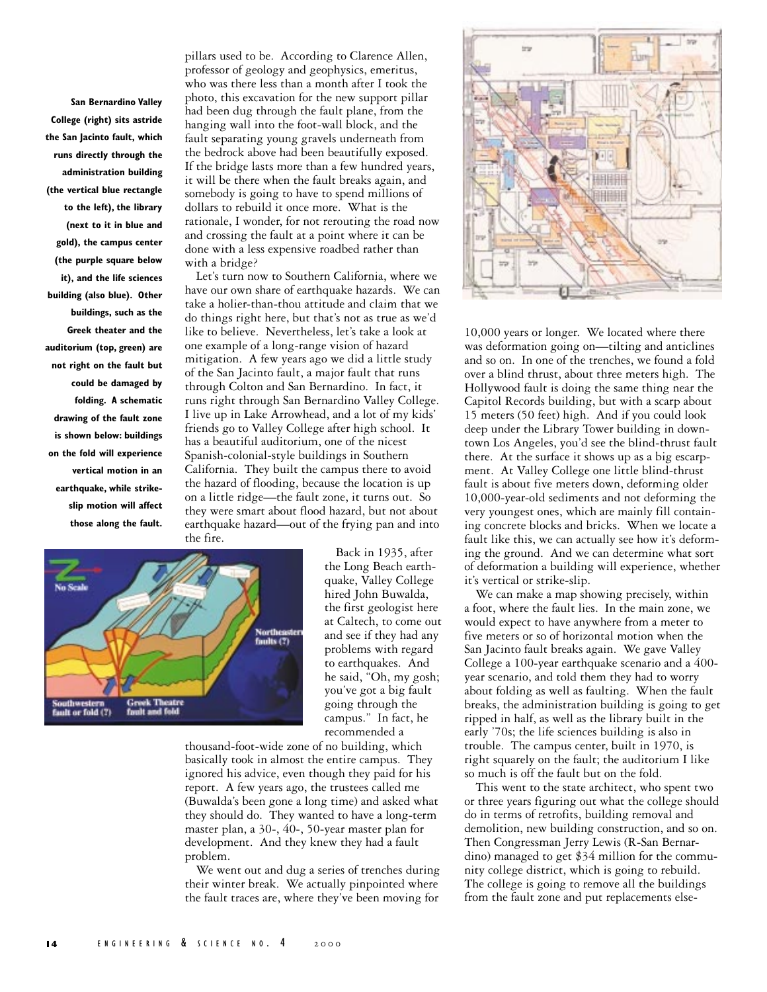**San Bernardino Valley College (right) sits astride the San Jacinto fault, which runs directly through the administration building (the vertical blue rectangle to the left), the library (next to it in blue and gold), the campus center (the purple square below it), and the life sciences building (also blue). Other buildings, such as the Greek theater and the auditorium (top, green) are not right on the fault but could be damaged by folding. A schematic drawing of the fault zone is shown below: buildings on the fold will experience vertical motion in an earthquake, while strikeslip motion will affect those along the fault.** pillars used to be. According to Clarence Allen, professor of geology and geophysics, emeritus, who was there less than a month after I took the photo, this excavation for the new support pillar had been dug through the fault plane, from the hanging wall into the foot-wall block, and the fault separating young gravels underneath from the bedrock above had been beautifully exposed. If the bridge lasts more than a few hundred years, it will be there when the fault breaks again, and somebody is going to have to spend millions of dollars to rebuild it once more. What is the rationale, I wonder, for not rerouting the road now and crossing the fault at a point where it can be done with a less expensive roadbed rather than with a bridge?

Let's turn now to Southern California, where we have our own share of earthquake hazards. We can take a holier-than-thou attitude and claim that we do things right here, but that's not as true as we'd like to believe. Nevertheless, let's take a look at one example of a long-range vision of hazard mitigation. A few years ago we did a little study of the San Jacinto fault, a major fault that runs through Colton and San Bernardino. In fact, it runs right through San Bernardino Valley College. I live up in Lake Arrowhead, and a lot of my kids' friends go to Valley College after high school. It has a beautiful auditorium, one of the nicest Spanish-colonial-style buildings in Southern California. They built the campus there to avoid the hazard of flooding, because the location is up on a little ridge—the fault zone, it turns out. So they were smart about flood hazard, but not about earthquake hazard—out of the frying pan and into the fire.



Back in 1935, after the Long Beach earthquake, Valley College hired John Buwalda, the first geologist here at Caltech, to come out and see if they had any problems with regard to earthquakes. And he said, "Oh, my gosh; you've got a big fault going through the campus." In fact, he recommended a

thousand-foot-wide zone of no building, which basically took in almost the entire campus. They ignored his advice, even though they paid for his report. A few years ago, the trustees called me (Buwalda's been gone a long time) and asked what they should do. They wanted to have a long-term master plan, a 30-, 40-, 50-year master plan for development. And they knew they had a fault problem.

We went out and dug a series of trenches during their winter break. We actually pinpointed where the fault traces are, where they've been moving for



10,000 years or longer. We located where there was deformation going on—tilting and anticlines and so on. In one of the trenches, we found a fold over a blind thrust, about three meters high. The Hollywood fault is doing the same thing near the Capitol Records building, but with a scarp about 15 meters (50 feet) high. And if you could look deep under the Library Tower building in downtown Los Angeles, you'd see the blind-thrust fault there. At the surface it shows up as a big escarpment. At Valley College one little blind-thrust fault is about five meters down, deforming older 10,000-year-old sediments and not deforming the very youngest ones, which are mainly fill containing concrete blocks and bricks. When we locate a fault like this, we can actually see how it's deforming the ground. And we can determine what sort of deformation a building will experience, whether it's vertical or strike-slip.

We can make a map showing precisely, within a foot, where the fault lies. In the main zone, we would expect to have anywhere from a meter to five meters or so of horizontal motion when the San Jacinto fault breaks again. We gave Valley College a 100-year earthquake scenario and a 400 year scenario, and told them they had to worry about folding as well as faulting. When the fault breaks, the administration building is going to get ripped in half, as well as the library built in the early '70s; the life sciences building is also in trouble. The campus center, built in 1970, is right squarely on the fault; the auditorium I like so much is off the fault but on the fold.

This went to the state architect, who spent two or three years figuring out what the college should do in terms of retrofits, building removal and demolition, new building construction, and so on. Then Congressman Jerry Lewis (R-San Bernardino) managed to get \$34 million for the community college district, which is going to rebuild. The college is going to remove all the buildings from the fault zone and put replacements else-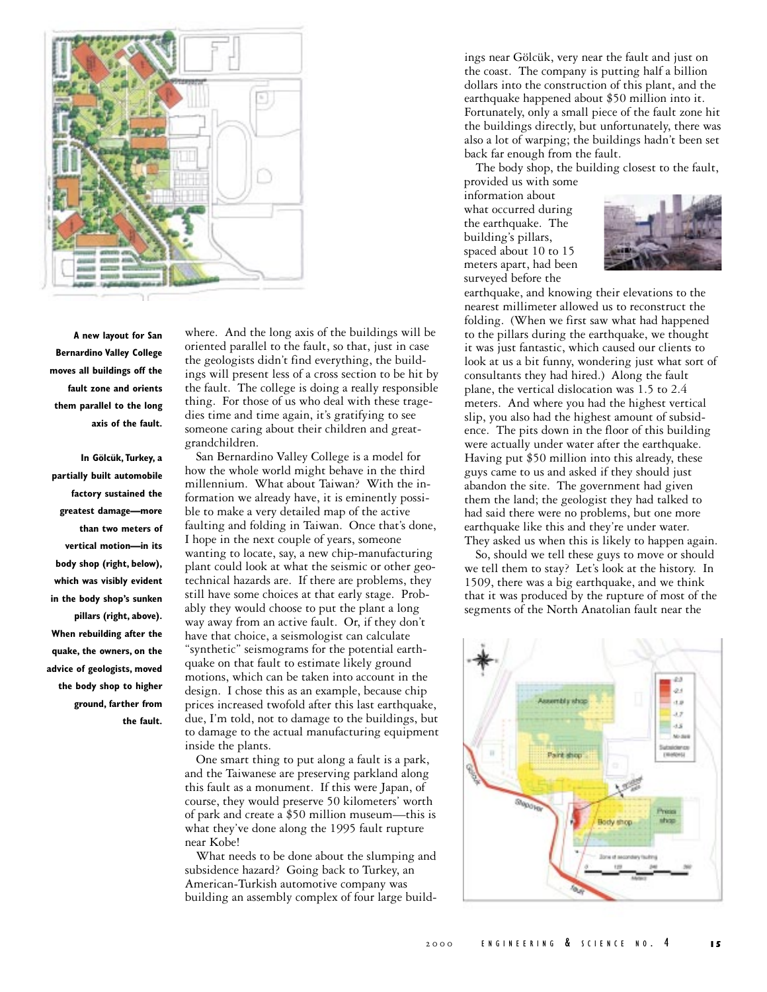

**A new layout for San Bernardino Valley College moves all buildings off the fault zone and orients them parallel to the long axis of the fault.**

**In Gölcük, Turkey, a partially built automobile factory sustained the greatest damage—more than two meters of vertical motion—in its body shop (right, below), which was visibly evident in the body shop's sunken pillars (right, above). When rebuilding after the quake, the owners, on the advice of geologists, moved the body shop to higher ground, farther from the fault.** where. And the long axis of the buildings will be oriented parallel to the fault, so that, just in case the geologists didn't find everything, the buildings will present less of a cross section to be hit by the fault. The college is doing a really responsible thing. For those of us who deal with these tragedies time and time again, it's gratifying to see someone caring about their children and greatgrandchildren.

San Bernardino Valley College is a model for how the whole world might behave in the third millennium. What about Taiwan? With the information we already have, it is eminently possible to make a very detailed map of the active faulting and folding in Taiwan. Once that's done, I hope in the next couple of years, someone wanting to locate, say, a new chip-manufacturing plant could look at what the seismic or other geotechnical hazards are. If there are problems, they still have some choices at that early stage. Probably they would choose to put the plant a long way away from an active fault. Or, if they don't have that choice, a seismologist can calculate "synthetic" seismograms for the potential earthquake on that fault to estimate likely ground motions, which can be taken into account in the design. I chose this as an example, because chip prices increased twofold after this last earthquake, due, I'm told, not to damage to the buildings, but to damage to the actual manufacturing equipment inside the plants.

One smart thing to put along a fault is a park, and the Taiwanese are preserving parkland along this fault as a monument. If this were Japan, of course, they would preserve 50 kilometers' worth of park and create a \$50 million museum—this is what they've done along the 1995 fault rupture near Kobe!

What needs to be done about the slumping and subsidence hazard? Going back to Turkey, an American-Turkish automotive company was building an assembly complex of four large build-

ings near Gölcük, very near the fault and just on the coast. The company is putting half a billion dollars into the construction of this plant, and the earthquake happened about \$50 million into it. Fortunately, only a small piece of the fault zone hit the buildings directly, but unfortunately, there was also a lot of warping; the buildings hadn't been set back far enough from the fault.

The body shop, the building closest to the fault,

provided us with some information about what occurred during the earthquake. The building's pillars, spaced about 10 to 15 meters apart, had been surveyed before the



earthquake, and knowing their elevations to the nearest millimeter allowed us to reconstruct the folding. (When we first saw what had happened to the pillars during the earthquake, we thought it was just fantastic, which caused our clients to look at us a bit funny, wondering just what sort of consultants they had hired.) Along the fault plane, the vertical dislocation was 1.5 to 2.4 meters. And where you had the highest vertical slip, you also had the highest amount of subsidence. The pits down in the floor of this building were actually under water after the earthquake. Having put \$50 million into this already, these guys came to us and asked if they should just abandon the site. The government had given them the land; the geologist they had talked to had said there were no problems, but one more earthquake like this and they're under water. They asked us when this is likely to happen again.

So, should we tell these guys to move or should we tell them to stay? Let's look at the history. In 1509, there was a big earthquake, and we think that it was produced by the rupture of most of the segments of the North Anatolian fault near the

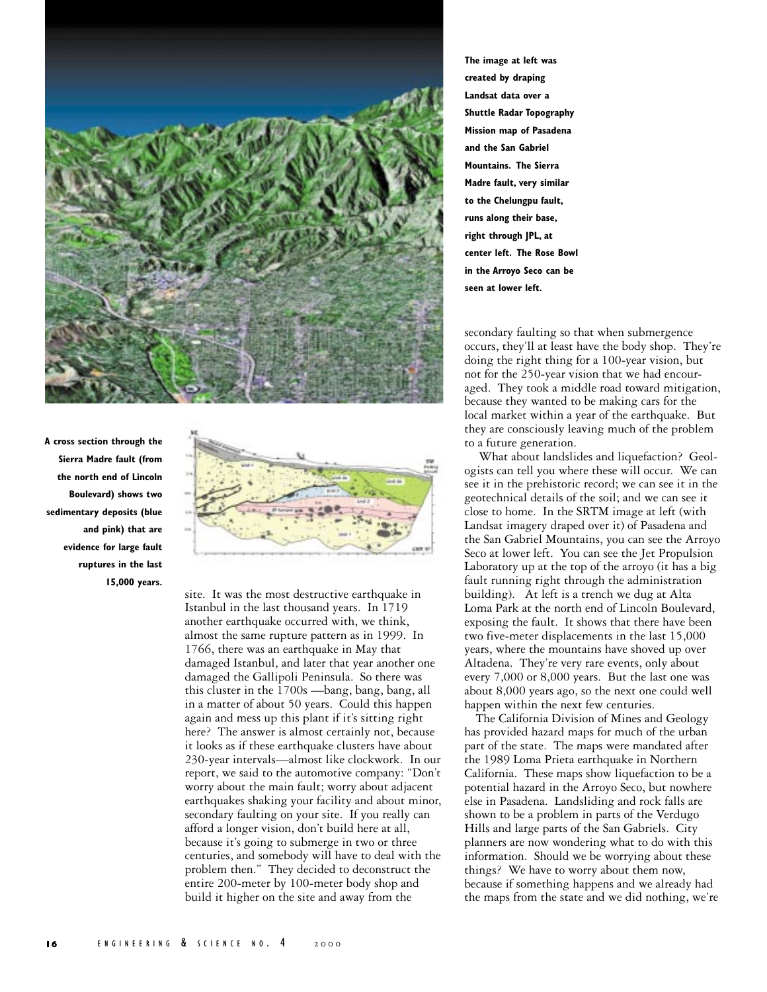

**A cross section through the Sierra Madre fault (from the north end of Lincoln Boulevard) shows two sedimentary deposits (blue and pink) that are evidence for large fault ruptures in the last 15,000 years.**



site. It was the most destructive earthquake in Istanbul in the last thousand years. In 1719 another earthquake occurred with, we think, almost the same rupture pattern as in 1999. In 1766, there was an earthquake in May that damaged Istanbul, and later that year another one damaged the Gallipoli Peninsula. So there was this cluster in the 1700s —bang, bang, bang, all in a matter of about 50 years. Could this happen again and mess up this plant if it's sitting right here? The answer is almost certainly not, because it looks as if these earthquake clusters have about 230-year intervals—almost like clockwork. In our report, we said to the automotive company: "Don't worry about the main fault; worry about adjacent earthquakes shaking your facility and about minor, secondary faulting on your site. If you really can afford a longer vision, don't build here at all, because it's going to submerge in two or three centuries, and somebody will have to deal with the problem then." They decided to deconstruct the entire 200-meter by 100-meter body shop and build it higher on the site and away from the

**The image at left was created by draping Landsat data over a Shuttle Radar Topography Mission map of Pasadena and the San Gabriel Mountains. The Sierra Madre fault, very similar to the Chelungpu fault, runs along their base, right through JPL, at center left. The Rose Bowl in the Arroyo Seco can be seen at lower left.**

secondary faulting so that when submergence occurs, they'll at least have the body shop. They're doing the right thing for a 100-year vision, but not for the 250-year vision that we had encouraged. They took a middle road toward mitigation, because they wanted to be making cars for the local market within a year of the earthquake. But they are consciously leaving much of the problem to a future generation.

 What about landslides and liquefaction? Geologists can tell you where these will occur. We can see it in the prehistoric record; we can see it in the geotechnical details of the soil; and we can see it close to home. In the SRTM image at left (with Landsat imagery draped over it) of Pasadena and the San Gabriel Mountains, you can see the Arroyo Seco at lower left. You can see the Jet Propulsion Laboratory up at the top of the arroyo (it has a big fault running right through the administration building). At left is a trench we dug at Alta Loma Park at the north end of Lincoln Boulevard, exposing the fault. It shows that there have been two five-meter displacements in the last 15,000 years, where the mountains have shoved up over Altadena. They're very rare events, only about every 7,000 or 8,000 years. But the last one was about 8,000 years ago, so the next one could well happen within the next few centuries.

The California Division of Mines and Geology has provided hazard maps for much of the urban part of the state. The maps were mandated after the 1989 Loma Prieta earthquake in Northern California. These maps show liquefaction to be a potential hazard in the Arroyo Seco, but nowhere else in Pasadena. Landsliding and rock falls are shown to be a problem in parts of the Verdugo Hills and large parts of the San Gabriels. City planners are now wondering what to do with this information. Should we be worrying about these things? We have to worry about them now, because if something happens and we already had the maps from the state and we did nothing, we're